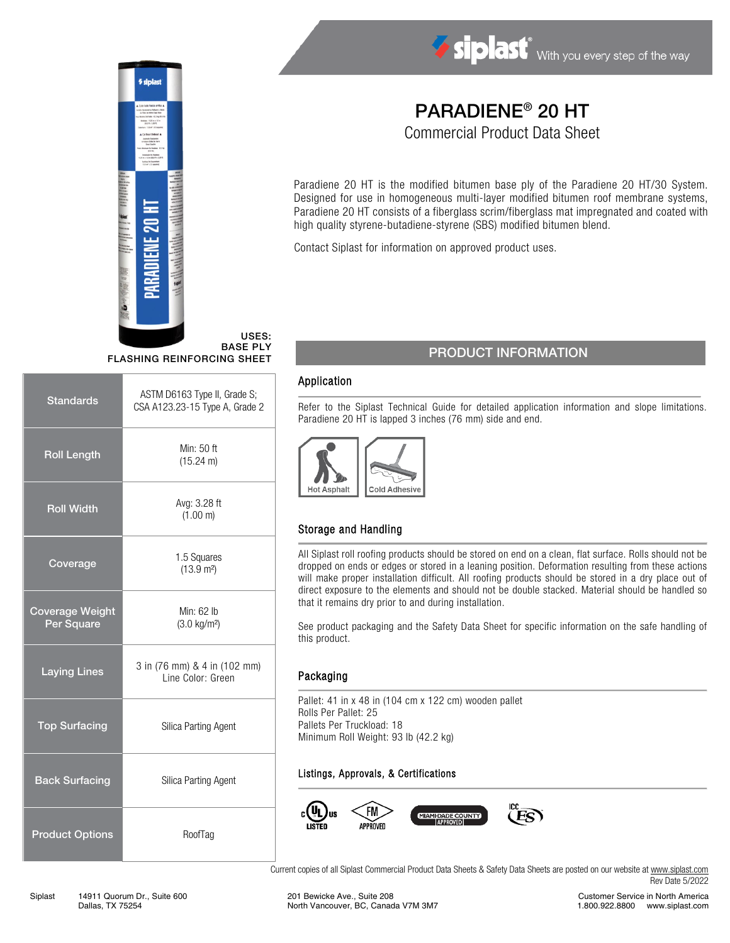

USES: BASE PLY

| <b>Standards</b>                     | ASTM D6163 Type II, Grade S;<br>CSA A123.23-15 Type A, Grade 2 |  |
|--------------------------------------|----------------------------------------------------------------|--|
| <b>Roll Length</b>                   | Min: 50 ft<br>$(15.24 \text{ m})$                              |  |
| <b>Roll Width</b>                    | Avg: 3.28 ft<br>(1.00 m)                                       |  |
| Coverage                             | 1.5 Squares<br>(13.9 m <sup>2</sup> )                          |  |
| <b>Coverage Weight</b><br>Per Square | Min: 62 lb<br>$(3.0 \text{ kg/m}^2)$                           |  |
| <b>Laying Lines</b>                  | 3 in (76 mm) & 4 in (102 mm)<br>Line Color: Green              |  |
| <b>Top Surfacing</b>                 | Silica Parting Agent                                           |  |
| <b>Back Surfacing</b>                | Silica Parting Agent                                           |  |
| <b>Product Options</b>               | RoofTag                                                        |  |

# PARADIENE® 20 HT

Siplast With you every step of the way

Commercial Product Data Sheet

Paradiene 20 HT is the modified bitumen base ply of the Paradiene 20 HT/30 System. Designed for use in homogeneous multi-layer modified bitumen roof membrane systems, Paradiene 20 HT consists of a fiberglass scrim/fiberglass mat impregnated and coated with high quality styrene-butadiene-styrene (SBS) modified bitumen blend.

Contact Siplast for information on approved product uses.

# **FLASHING REINFORCING SHEET**

#### Application

Refer to the Siplast Technical Guide for detailed application information and slope limitations. Paradiene 20 HT is lapped 3 inches (76 mm) side and end.



## Storage and Handling

All Siplast roll roofing products should be stored on end on a clean, flat surface. Rolls should not be dropped on ends or edges or stored in a leaning position. Deformation resulting from these actions will make proper installation difficult. All roofing products should be stored in a dry place out of direct exposure to the elements and should not be double stacked. Material should be handled so that it remains dry prior to and during installation.

See product packaging and the Safety Data Sheet for specific information on the safe handling of this product.

#### Packaging

Pallet: 41 in x 48 in (104 cm x 122 cm) wooden pallet Rolls Per Pallet: 25 Pallets Per Truckload: 18 Minimum Roll Weight: 93 lb (42.2 kg)

#### Listings, Approvals, & Certifications



Current copies of all Siplast Commercial Product Data Sheets & Safety Data Sheets are posted on our website a[t www.siplast.com](http://www.siplast.com/) Rev Date 5/2022